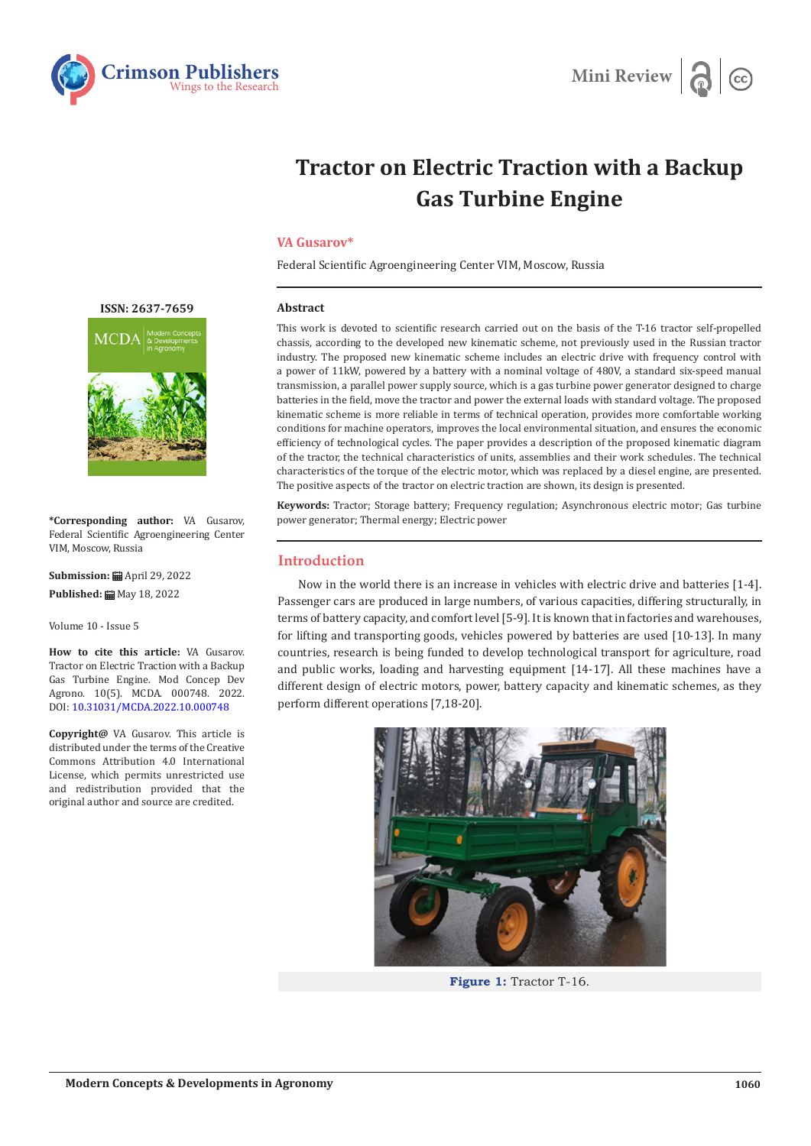



# **Tractor on Electric Traction with a Backup Gas Turbine Engine**

## **VA Gusarov\***

Federal Scientific Agroengineering Center VIM, Moscow, Russia

### **Abstract**

This work is devoted to scientific research carried out on the basis of the T-16 tractor self-propelled chassis, according to the developed new kinematic scheme, not previously used in the Russian tractor industry. The proposed new kinematic scheme includes an electric drive with frequency control with a power of 11kW, powered by a battery with a nominal voltage of 480V, a standard six-speed manual transmission, a parallel power supply source, which is a gas turbine power generator designed to charge batteries in the field, move the tractor and power the external loads with standard voltage. The proposed kinematic scheme is more reliable in terms of technical operation, provides more comfortable working conditions for machine operators, improves the local environmental situation, and ensures the economic efficiency of technological cycles. The paper provides a description of the proposed kinematic diagram of the tractor, the technical characteristics of units, assemblies and their work schedules. The technical characteristics of the torque of the electric motor, which was replaced by a diesel engine, are presented. The positive aspects of the tractor on electric traction are shown, its design is presented.

**Keywords:** Tractor; Storage battery; Frequency regulation; Asynchronous electric motor; Gas turbine power generator; Thermal energy; Electric power

# **Introduction**

Now in the world there is an increase in vehicles with electric drive and batteries [1-4]. Passenger cars are produced in large numbers, of various capacities, differing structurally, in terms of battery capacity, and comfort level [5-9]. It is known that in factories and warehouses, for lifting and transporting goods, vehicles powered by batteries are used [10-13]. In many countries, research is being funded to develop technological transport for agriculture, road and public works, loading and harvesting equipment [14-17]. All these machines have a different design of electric motors, power, battery capacity and kinematic schemes, as they perform different operations [7,18-20].



**Figure 1:** Tractor T-16.

#### **[ISSN: 2637-7659](https://www.crimsonpublishers.com/mcda/)**



**\*Corresponding author:** VA Gusarov, Federal Scientific Agroengineering Center VIM, Moscow, Russia

**Submission:** April 29, 2022 **Published:** May 18, 2022

Volume 10 - Issue 5

**How to cite this article:** VA Gusarov. Tractor on Electric Traction with a Backup Gas Turbine Engine. Mod Concep Dev Agrono. 10(5). MCDA. 000748. 2022. DOI: [10.31031/MCDA.2022.10.000748](http://dx.doi.org/10.31031/MCDA.2022.10.000748)

**Copyright@** VA Gusarov. This article is distributed under the terms of the Creative Commons Attribution 4.0 International License, which permits unrestricted use and redistribution provided that the original author and source are credited.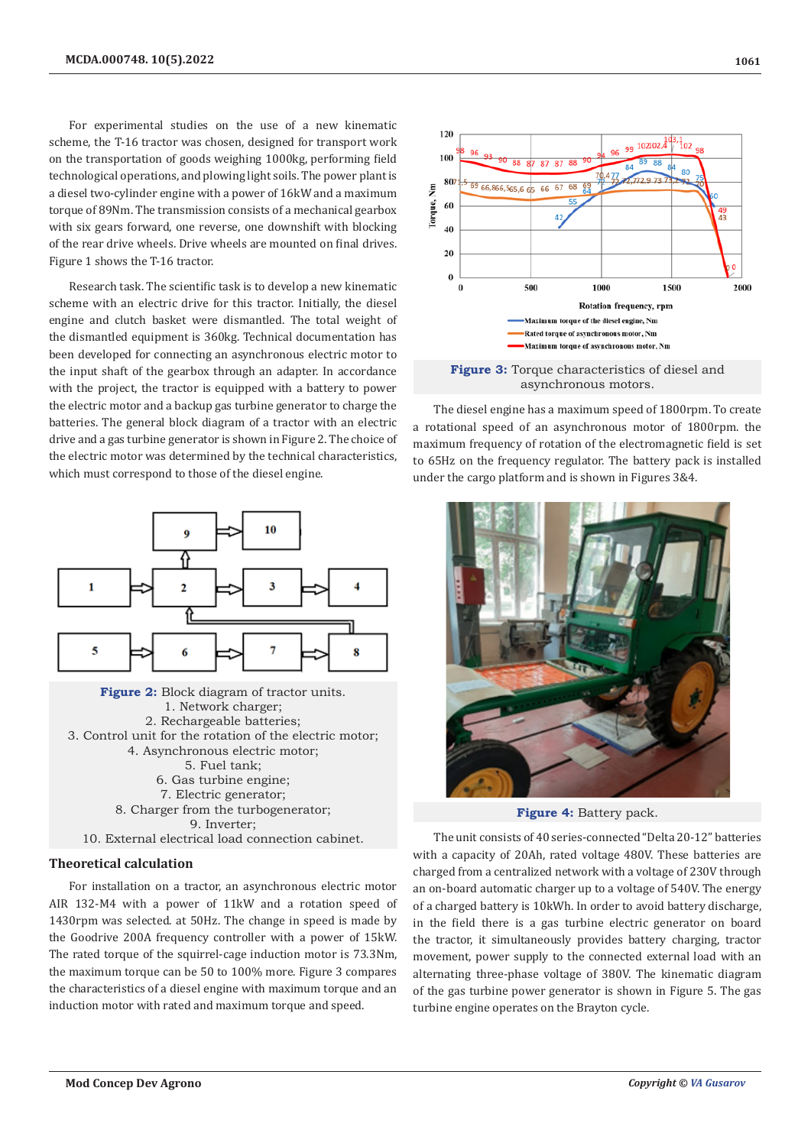For experimental studies on the use of a new kinematic scheme, the T-16 tractor was chosen, designed for transport work on the transportation of goods weighing 1000kg, performing field technological operations, and plowing light soils. The power plant is a diesel two-cylinder engine with a power of 16kW and a maximum torque of 89Nm. The transmission consists of a mechanical gearbox with six gears forward, one reverse, one downshift with blocking of the rear drive wheels. Drive wheels are mounted on final drives. Figure 1 shows the T-16 tractor.

Research task. The scientific task is to develop a new kinematic scheme with an electric drive for this tractor. Initially, the diesel engine and clutch basket were dismantled. The total weight of the dismantled equipment is 360kg. Technical documentation has been developed for connecting an asynchronous electric motor to the input shaft of the gearbox through an adapter. In accordance with the project, the tractor is equipped with a battery to power the electric motor and a backup gas turbine generator to charge the batteries. The general block diagram of a tractor with an electric drive and a gas turbine generator is shown in Figure 2. The choice of the electric motor was determined by the technical characteristics, which must correspond to those of the diesel engine.



# **Theoretical calculation**

For installation on a tractor, an asynchronous electric motor AIR 132-M4 with a power of 11kW and a rotation speed of 1430rpm was selected. at 50Hz. The change in speed is made by the Goodrive 200A frequency controller with a power of 15kW. The rated torque of the squirrel-cage induction motor is 73.3Nm, the maximum torque can be 50 to 100% more. Figure 3 compares the characteristics of a diesel engine with maximum torque and an induction motor with rated and maximum torque and speed.





The diesel engine has a maximum speed of 1800rpm. To create a rotational speed of an asynchronous motor of 1800rpm. the maximum frequency of rotation of the electromagnetic field is set to 65Hz on the frequency regulator. The battery pack is installed under the cargo platform and is shown in Figures 3&4.



**Figure 4:** Battery pack.

The unit consists of 40 series-connected "Delta 20-12" batteries with a capacity of 20Ah, rated voltage 480V. These batteries are charged from a centralized network with a voltage of 230V through an on-board automatic charger up to a voltage of 540V. The energy of a charged battery is 10kWh. In order to avoid battery discharge, in the field there is a gas turbine electric generator on board the tractor, it simultaneously provides battery charging, tractor movement, power supply to the connected external load with an alternating three-phase voltage of 380V. The kinematic diagram of the gas turbine power generator is shown in Figure 5. The gas turbine engine operates on the Brayton cycle.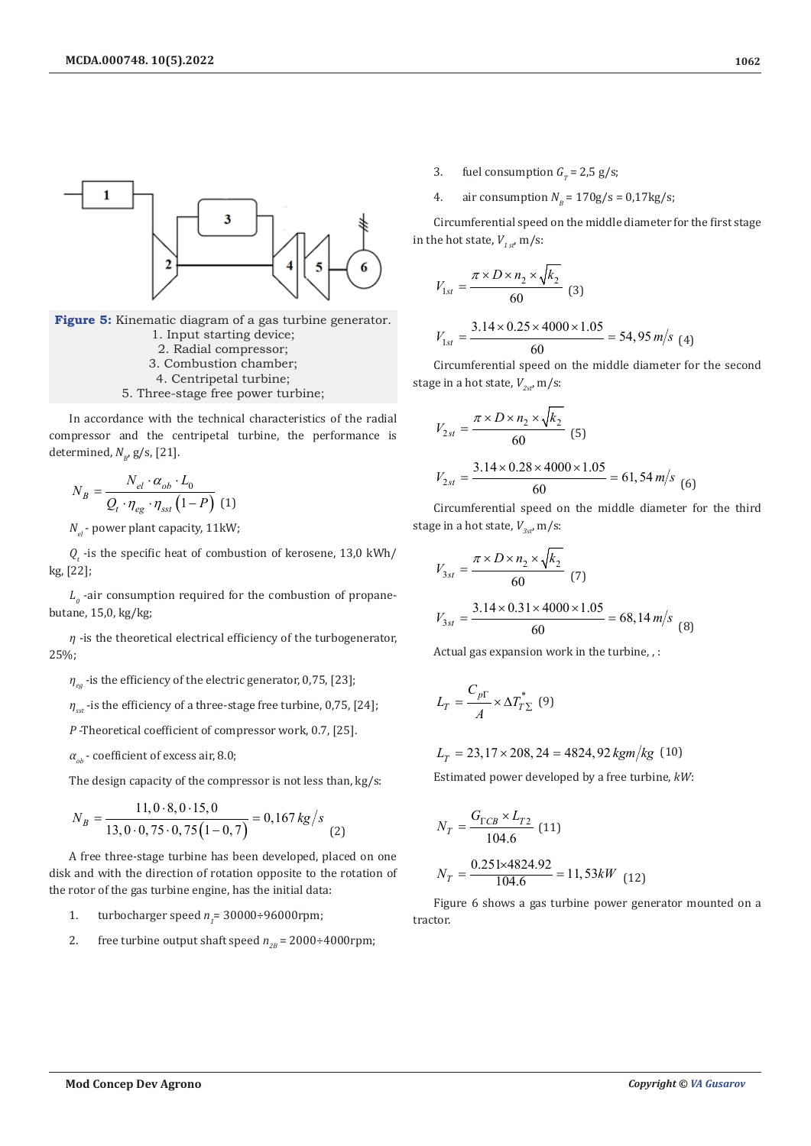

**Figure 5:** Kinematic diagram of a gas turbine generator. 1. Input starting device; 2. Radial compressor; 3. Combustion chamber; 4. Centripetal turbine;

5. Three-stage free power turbine;

In accordance with the technical characteristics of the radial compressor and the centripetal turbine, the performance is determined,  $N_{B}$ , g/s, [21].

$$
N_B = \frac{N_{el} \cdot \alpha_{ob} \cdot L_0}{Q_t \cdot \eta_{eg} \cdot \eta_{sst} (1 - P)}
$$
 (1)

*N<sub>el</sub>* - power plant capacity, 11kW;

 $Q<sub>r</sub>$  -is the specific heat of combustion of kerosene, 13,0 kWh/ kg, [22];

 $L<sub>0</sub>$  -air consumption required for the combustion of propanebutane, 15,0, kg/kg;

*η* -is the theoretical electrical efficiency of the turbogenerator, 25%;

*η<sub>eg</sub>* -is the efficiency of the electric generator, 0,75, [23];

 $η<sub>set</sub>$ -is the efficiency of a three-stage free turbine, 0,75, [24];

*P* -Theoretical coefficient of compressor work, 0.7, [25].

$$
\alpha_{ob}
$$
 - coefficient of excess air, 8.0;

The design capacity of the compressor is not less than, kg/s:

$$
N_B = \frac{11, 0.8, 0.15, 0}{13, 0.0, 75 \cdot 0, 75 \cdot (1 - 0, 7)} = 0,167 \, \text{kg/s} \tag{2}
$$

A free three-stage turbine has been developed, placed on one disk and with the direction of rotation opposite to the rotation of the rotor of the gas turbine engine, has the initial data:

- 1. turbocharger speed  $n<sub>1</sub>$  = 30000÷96000rpm;
- 2. free turbine output shaft speed  $n_{2B} = 2000 \div 4000$  rpm;
- 3. fuel consumption  $G<sub>r</sub> = 2.5$  g/s;
- 4. air consumption  $N_p = 170g/s = 0.17kg/s$ ;

Circumferential speed on the middle diameter for the first stage in the hot state,  $V_{1st}$ , m/s:

$$
V_{1st} = \frac{\pi \times D \times n_2 \times \sqrt{k_2}}{60} \quad (3)
$$
  

$$
V_{1st} = \frac{3.14 \times 0.25 \times 4000 \times 1.05}{60} = 54,95 \, \text{m/s} \quad (4)
$$

Circumferential speed on the middle diameter for the second stage in a hot state,  $V_{2st}$ , m/s:

$$
V_{2st} = \frac{\pi \times D \times n_2 \times \sqrt{k_2}}{60} \tag{5}
$$
  

$$
V_{2st} = \frac{3.14 \times 0.28 \times 4000 \times 1.05}{60} = 61,54 \, \text{m/s} \tag{6}
$$

Circumferential speed on the middle diameter for the third stage in a hot state,  $V_{3st}$ , m/s:

$$
V_{3st} = \frac{\pi \times D \times n_2 \times \sqrt{k_2}}{60} \tag{7}
$$
  

$$
V_{3st} = \frac{3.14 \times 0.31 \times 4000 \times 1.05}{60} = 68,14 \, \text{m/s} \tag{8}
$$

Actual gas expansion work in the turbine, , :

$$
L_T = \frac{C_{p\Gamma}}{A} \times \Delta T_{T\Sigma}^* \tag{9}
$$

$$
L_T = 23,17 \times 208,24 = 4824,92 \, \text{kgm/kg} \quad (10)
$$

Estimated power developed by a free turbine, *kW*:

$$
N_T = \frac{G_{\Gamma CB} \times L_{T2}}{104.6}
$$
 (11)  

$$
N_T = \frac{0.251 \times 4824.92}{104.6} = 11,53kW
$$
 (12)

Figure 6 shows a gas turbine power generator mounted on a tractor.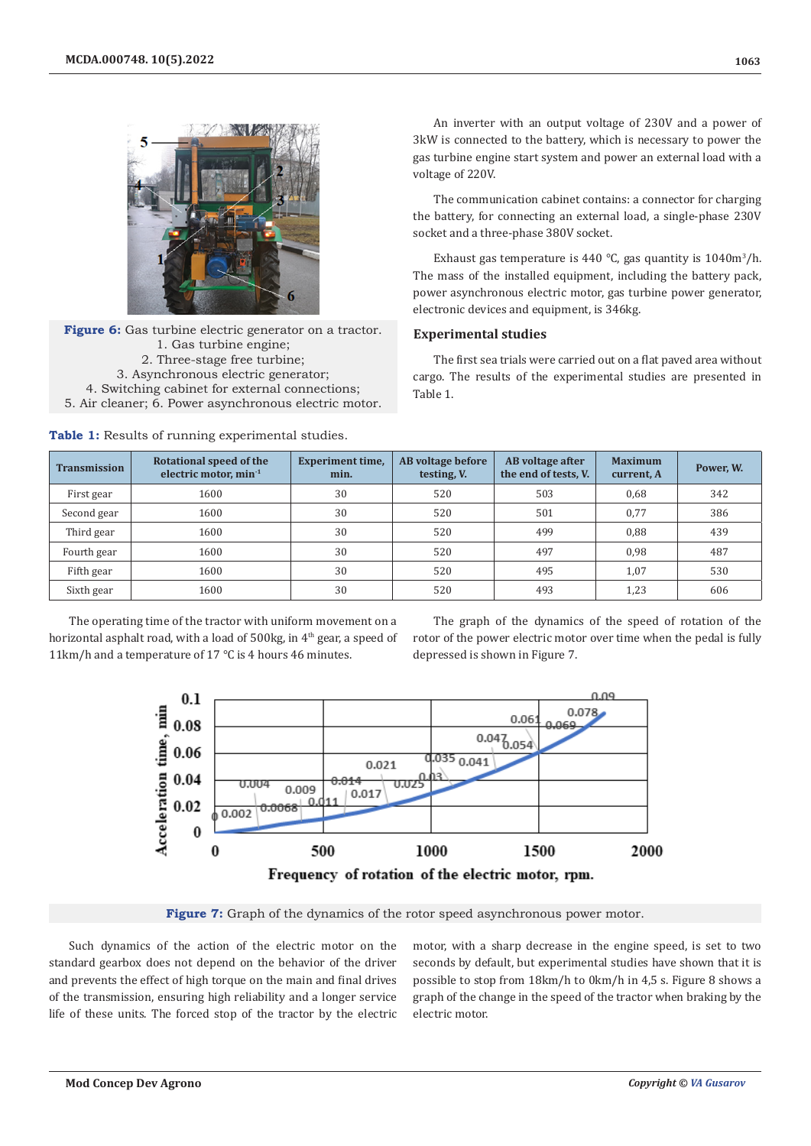

**Figure 6:** Gas turbine electric generator on a tractor. 1. Gas turbine engine; 2. Three-stage free turbine; 3. Asynchronous electric generator; 4. Switching cabinet for external connections; 5. Air cleaner; 6. Power asynchronous electric motor.



An inverter with an output voltage of 230V and a power of 3kW is connected to the battery, which is necessary to power the gas turbine engine start system and power an external load with a voltage of 220V.

The communication cabinet contains: a connector for charging the battery, for connecting an external load, a single-phase 230V socket and a three-phase 380V socket.

Exhaust gas temperature is 440  $\degree$ C, gas quantity is 1040m<sup>3</sup>/h. The mass of the installed equipment, including the battery pack, power asynchronous electric motor, gas turbine power generator, electronic devices and equipment, is 346kg.

# **Experimental studies**

The first sea trials were carried out on a flat paved area without cargo. The results of the experimental studies are presented in Table 1.

| <b>Transmission</b> | Rotational speed of the<br>electric motor, $min-1$ | <b>Experiment time,</b><br>min. | AB voltage before<br>testing, V. | AB voltage after<br>the end of tests, V. | <b>Maximum</b><br>current, A | Power, W. |
|---------------------|----------------------------------------------------|---------------------------------|----------------------------------|------------------------------------------|------------------------------|-----------|
| First gear          | 1600                                               | 30                              | 520                              | 503                                      | 0,68                         | 342       |
| Second gear         | 1600                                               | 30                              | 520                              | 501                                      | 0,77                         | 386       |
| Third gear          | 1600                                               | 30                              | 520                              | 499                                      | 0,88                         | 439       |
| Fourth gear         | 1600                                               | 30                              | 520                              | 497                                      | 0,98                         | 487       |
| Fifth gear          | 1600                                               | 30                              | 520                              | 495                                      | 1,07                         | 530       |
| Sixth gear          | 1600                                               | 30                              | 520                              | 493                                      | 1,23                         | 606       |

The operating time of the tractor with uniform movement on a horizontal asphalt road, with a load of  $500kg$ , in  $4<sup>th</sup>$  gear, a speed of 11km/h and a temperature of 17 ℃ is 4 hours 46 minutes.

The graph of the dynamics of the speed of rotation of the rotor of the power electric motor over time when the pedal is fully depressed is shown in Figure 7.



**Figure 7:** Graph of the dynamics of the rotor speed asynchronous power motor.

Such dynamics of the action of the electric motor on the standard gearbox does not depend on the behavior of the driver and prevents the effect of high torque on the main and final drives of the transmission, ensuring high reliability and a longer service life of these units. The forced stop of the tractor by the electric motor, with a sharp decrease in the engine speed, is set to two seconds by default, but experimental studies have shown that it is possible to stop from 18km/h to 0km/h in 4,5 s. Figure 8 shows a graph of the change in the speed of the tractor when braking by the electric motor.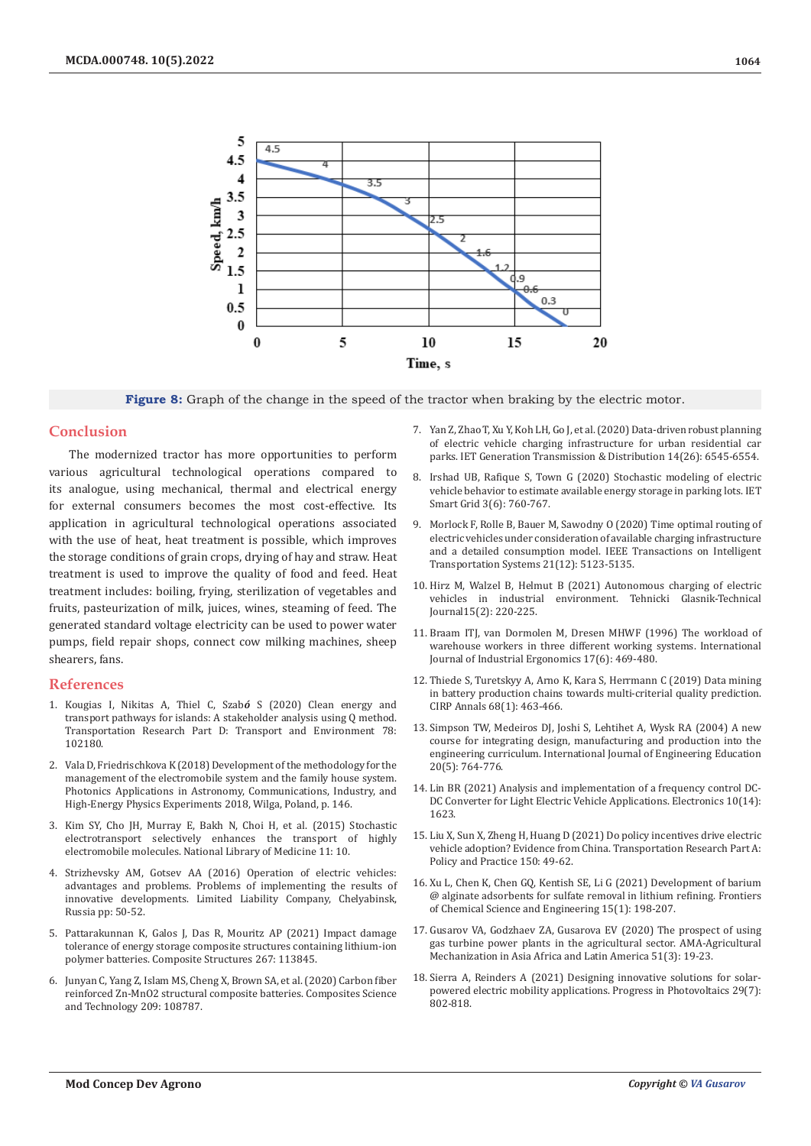

**Figure 8:** Graph of the change in the speed of the tractor when braking by the electric motor.

## **Conclusion**

The modernized tractor has more opportunities to perform various agricultural technological operations compared to its analogue, using mechanical, thermal and electrical energy for external consumers becomes the most cost-effective. Its application in agricultural technological operations associated with the use of heat, heat treatment is possible, which improves the storage conditions of grain crops, drying of hay and straw. Heat treatment is used to improve the quality of food and feed. Heat treatment includes: boiling, frying, sterilization of vegetables and fruits, pasteurization of milk, juices, wines, steaming of feed. The generated standard voltage electricity can be used to power water pumps, field repair shops, connect cow milking machines, sheep shearers, fans.

## **References**

- 1. [Kougias I, Nikitas A, Thiel C, Szab](https://www.sciencedirect.com/science/article/pii/S1361920919308922)*ó* S (2020) Clean energy and [transport pathways for islands: A stakeholder analysis using Q method.](https://www.sciencedirect.com/science/article/pii/S1361920919308922)  [Transportation Research Part D: Transport and Environment 78:](https://www.sciencedirect.com/science/article/pii/S1361920919308922)  [102180.](https://www.sciencedirect.com/science/article/pii/S1361920919308922)
- 2. Vala D, Friedrischkova K (2018) Development of the methodology for the management of the electromobile system and the family house system. Photonics Applications in Astronomy, Communications, Industry, and High-Energy Physics Experiments 2018, Wilga, Poland, p. 146.
- 3. [Kim SY, Cho JH, Murray E, Bakh N, Choi H, et al. \(2015\) Stochastic](https://www.pnas.org/doi/abs/10.1073/pnas.1510133112)  [electrotransport selectively enhances the transport of highly](https://www.pnas.org/doi/abs/10.1073/pnas.1510133112)  [electromobile molecules. National Library of Medicine 11: 10.](https://www.pnas.org/doi/abs/10.1073/pnas.1510133112)
- 4. Strizhevsky AM, Gotsev AA (2016) Operation of electric vehicles: advantages and problems. Problems of implementing the results of innovative developments. Limited Liability Company, Chelyabinsk, Russia pp: 50-52.
- 5. [Pattarakunnan K, Galos J, Das R, Mouritz AP \(2021\) Impact damage](https://www.sciencedirect.com/science/article/abs/pii/S0263822321003068)  [tolerance of energy storage composite structures containing lithium-ion](https://www.sciencedirect.com/science/article/abs/pii/S0263822321003068)  [polymer batteries. Composite Structures 267: 113845.](https://www.sciencedirect.com/science/article/abs/pii/S0263822321003068)
- 6. [Junyan C, Yang Z, Islam MS, Cheng X, Brown SA, et al. \(2020\) Carbon fiber](https://www.sciencedirect.com/science/article/abs/pii/S0266353821001433)  [reinforced Zn-MnO2 structural composite batteries. Composites Science](https://www.sciencedirect.com/science/article/abs/pii/S0266353821001433)  [and Technology 209: 108787.](https://www.sciencedirect.com/science/article/abs/pii/S0266353821001433)
- 7. [Yan Z, Zhao T, Xu Y, Koh LH, Go J, et al. \(2020\) Data-driven robust planning](https://digital-library.theiet.org/content/journals/10.1049/iet-gtd.2020.0835) [of electric vehicle charging infrastructure for urban residential car](https://digital-library.theiet.org/content/journals/10.1049/iet-gtd.2020.0835) [parks. IET Generation Transmission & Distribution 14\(26\): 6545-6554.](https://digital-library.theiet.org/content/journals/10.1049/iet-gtd.2020.0835)
- 8. [Irshad UB, Rafique S, Town G \(2020\) Stochastic modeling of electric](https://digital-library.theiet.org/content/journals/10.1049/iet-stg.2020.0011) [vehicle behavior to estimate available energy storage in parking lots. IET](https://digital-library.theiet.org/content/journals/10.1049/iet-stg.2020.0011) [Smart Grid 3\(6\): 760-767.](https://digital-library.theiet.org/content/journals/10.1049/iet-stg.2020.0011)
- 9. [Morlock F, Rolle B, Bauer M, Sawodny O \(2020\) Time optimal routing of](https://ieeexplore.ieee.org/document/8886708) [electric vehicles under consideration of available charging infrastructure](https://ieeexplore.ieee.org/document/8886708) [and a detailed consumption model. IEEE Transactions on Intelligent](https://ieeexplore.ieee.org/document/8886708) [Transportation Systems 21\(12\): 5123-5135.](https://ieeexplore.ieee.org/document/8886708)
- 10. [Hirz M, Walzel B, Helmut B \(2021\) Autonomous charging of electric](https://hrcak.srce.hr/file/375791) [vehicles in industrial environment. Tehnicki Glasnik-Technical](https://hrcak.srce.hr/file/375791) [Journal15\(2\): 220-225.](https://hrcak.srce.hr/file/375791)
- 11. [Braam ITJ, van Dormolen M, Dresen MHWF \(1996\) The workload of](https://www.sciencedirect.com/science/article/abs/pii/0169814195000089) [warehouse workers in three different working systems. International](https://www.sciencedirect.com/science/article/abs/pii/0169814195000089) [Journal of Industrial Ergonomics 17\(6\): 469-480.](https://www.sciencedirect.com/science/article/abs/pii/0169814195000089)
- 12. [Thiede S, Turetskyy A, Arno K, Kara S, Herrmann C \(2019\) Data mining](https://www.sciencedirect.com/science/article/abs/pii/S0007850619300952) [in battery production chains towards multi-criterial quality prediction.](https://www.sciencedirect.com/science/article/abs/pii/S0007850619300952) [CIRP Annals 68\(1\): 463-466.](https://www.sciencedirect.com/science/article/abs/pii/S0007850619300952)
- 13. Simpson TW, Medeiros DJ, Joshi S, Lehtihet A, Wysk RA (2004) A new course for integrating design, manufacturing and production into the engineering curriculum. International Journal of Engineering Education 20(5): 764-776.
- 14. [Lin BR \(2021\) Analysis and implementation of a frequency control DC-](https://www.sciencegate.app/document/10.3390/electronics10141623)[DC Converter for Light Electric Vehicle Applications. Electronics 10\(14\):](https://www.sciencegate.app/document/10.3390/electronics10141623) [1623.](https://www.sciencegate.app/document/10.3390/electronics10141623)
- 15. [Liu X, Sun X, Zheng H, Huang D \(2021\) Do policy incentives drive electric](https://www.sciencedirect.com/science/article/abs/pii/S0965856421001415) [vehicle adoption? Evidence from China. Transportation Research Part A:](https://www.sciencedirect.com/science/article/abs/pii/S0965856421001415) [Policy and Practice 150: 49-62.](https://www.sciencedirect.com/science/article/abs/pii/S0965856421001415)
- 16. [Xu L, Chen K, Chen GQ, Kentish SE, Li G \(2021\) Development of barium](https://link.springer.com/article/10.1007/s11705-020-1968-z) [@ alginate adsorbents for sulfate removal in lithium refining. Frontiers](https://link.springer.com/article/10.1007/s11705-020-1968-z) [of Chemical Science and Engineering 15\(1\): 198-207.](https://link.springer.com/article/10.1007/s11705-020-1968-z)
- 17. Gusarov VA, Godzhaev ZA, Gusarova EV (2020) The prospect of using gas turbine power plants in the agricultural sector. AMA-Agricultural Mechanization in Asia Africa and Latin America 51(3): 19-23.
- 18. [Sierra A, Reinders A \(2021\) Designing innovative solutions for solar](https://onlinelibrary.wiley.com/doi/full/10.1002/pip.3385)[powered electric mobility applications. Progress in Photovoltaics 29\(7\):](https://onlinelibrary.wiley.com/doi/full/10.1002/pip.3385) [802-818.](https://onlinelibrary.wiley.com/doi/full/10.1002/pip.3385)